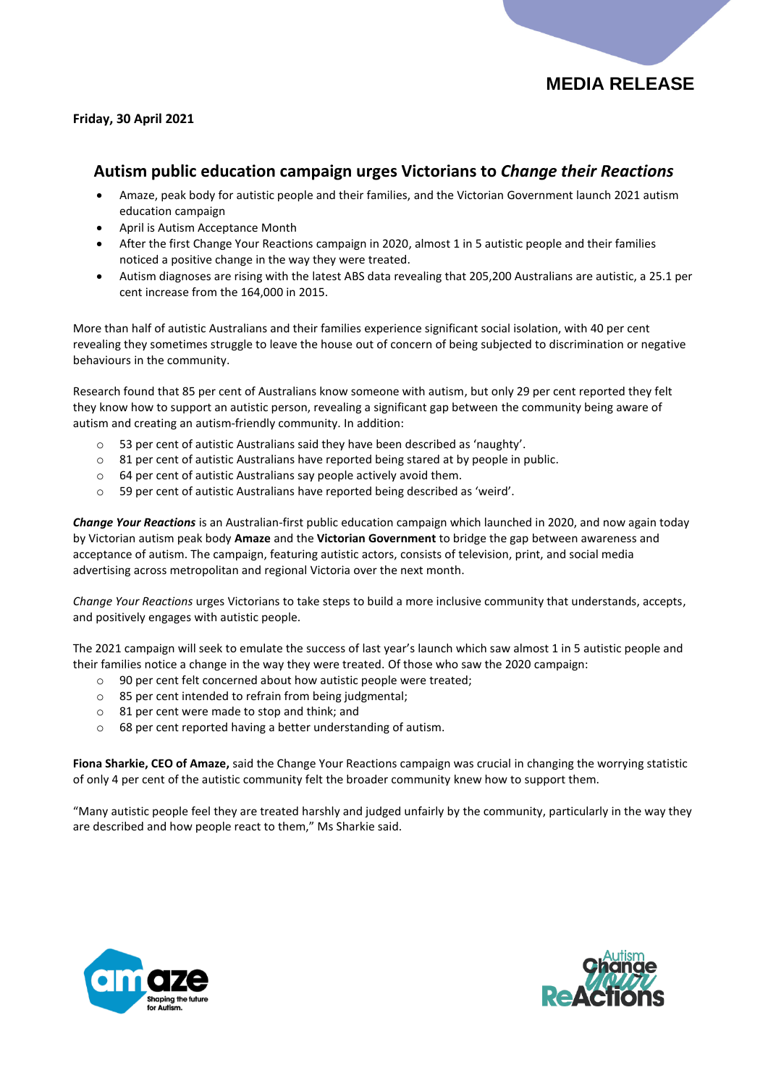

## **Friday, 30 April 2021**

## **Autism public education campaign urges Victorians to** *Change their Reactions*

- Amaze, peak body for autistic people and their families, and the Victorian Government launch 2021 autism education campaign
- April is Autism Acceptance Month
- After the first Change Your Reactions campaign in 2020, almost 1 in 5 autistic people and their families noticed a positive change in the way they were treated.
- Autism diagnoses are rising with the latest ABS data revealing that 205,200 Australians are autistic, a 25.1 per cent increase from the 164,000 in 2015.

More than half of autistic Australians and their families experience significant social isolation, with 40 per cent revealing they sometimes struggle to leave the house out of concern of being subjected to discrimination or negative behaviours in the community.

Research found that 85 per cent of Australians know someone with autism, but only 29 per cent reported they felt they know how to support an autistic person, revealing a significant gap between the community being aware of autism and creating an autism-friendly community. In addition:

- o 53 per cent of autistic Australians said they have been described as 'naughty'.
- o 81 per cent of autistic Australians have reported being stared at by people in public.
- o 64 per cent of autistic Australians say people actively avoid them.
- o 59 per cent of autistic Australians have reported being described as 'weird'.

*Change Your Reactions* is an Australian-first public education campaign which launched in 2020, and now again today by Victorian autism peak body **Amaze** and the **Victorian Government** to bridge the gap between awareness and acceptance of autism. The campaign, featuring autistic actors, consists of television, print, and social media advertising across metropolitan and regional Victoria over the next month.

*Change Your Reactions* urges Victorians to take steps to build a more inclusive community that understands, accepts, and positively engages with autistic people.

The 2021 campaign will seek to emulate the success of last year's launch which saw almost 1 in 5 autistic people and their families notice a change in the way they were treated. Of those who saw the 2020 campaign:

- o 90 per cent felt concerned about how autistic people were treated;
- o 85 per cent intended to refrain from being judgmental;
- o 81 per cent were made to stop and think; and
- o 68 per cent reported having a better understanding of autism.

**Fiona Sharkie, CEO of Amaze,** said the Change Your Reactions campaign was crucial in changing the worrying statistic of only 4 per cent of the autistic community felt the broader community knew how to support them.

"Many autistic people feel they are treated harshly and judged unfairly by the community, particularly in the way they are described and how people react to them," Ms Sharkie said.